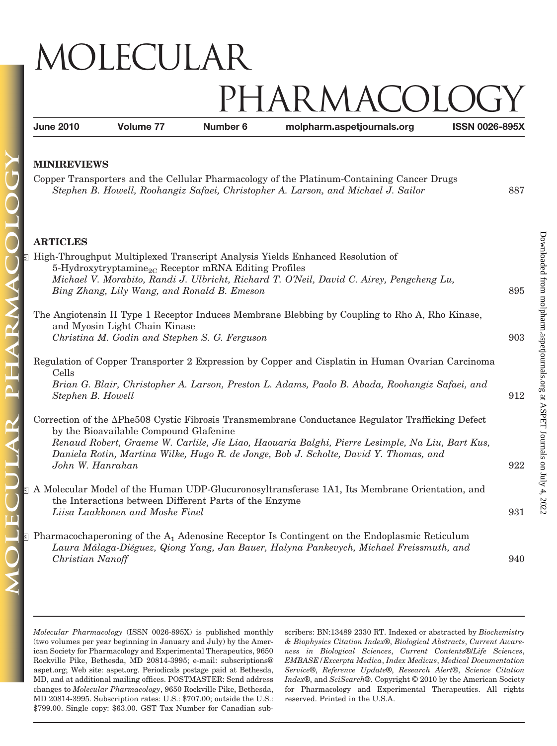## MOLECULAR IARMACOL

**June 2010 Volume 77 Number 6 molpharm.aspetjournals.org ISSN 0026-895X**

Copper Transporters and the Cellular Pharmacology of the Platinum-Containing Cancer Drugs *Stephen B. Howell, Roohangiz Safaei, Christopher A. Larson, and Michael J. Sailor* 887

## **ARTICLES**

| High-Throughput Multiplexed Transcript Analysis Yields Enhanced Resolution of<br>s.<br>5-Hydroxytryptamine <sub>2C</sub> Receptor mRNA Editing Profiles<br>Michael V. Morabito, Randi J. Ulbricht, Richard T. O'Neil, David C. Airey, Pengcheng Lu,<br>Bing Zhang, Lily Wang, and Ronald B. Emeson                                                        | 895 |
|-----------------------------------------------------------------------------------------------------------------------------------------------------------------------------------------------------------------------------------------------------------------------------------------------------------------------------------------------------------|-----|
| The Angiotensin II Type 1 Receptor Induces Membrane Blebbing by Coupling to Rho A, Rho Kinase,<br>and Myosin Light Chain Kinase<br>Christina M. Godin and Stephen S. G. Ferguson                                                                                                                                                                          | 903 |
| Regulation of Copper Transporter 2 Expression by Copper and Cisplatin in Human Ovarian Carcinoma<br>Cells<br>Brian G. Blair, Christopher A. Larson, Preston L. Adams, Paolo B. Abada, Roohangiz Safaei, and<br>Stephen B. Howell                                                                                                                          | 912 |
| Correction of the APhe508 Cystic Fibrosis Transmembrane Conductance Regulator Trafficking Defect<br>by the Bioavailable Compound Glafenine<br>Renaud Robert, Graeme W. Carlile, Jie Liao, Haouaria Balghi, Pierre Lesimple, Na Liu, Bart Kus,<br>Daniela Rotin, Martina Wilke, Hugo R. de Jonge, Bob J. Scholte, David Y. Thomas, and<br>John W. Hanrahan | 922 |
| S A Molecular Model of the Human UDP-Glucuronosyltransferase 1A1, Its Membrane Orientation, and<br>the Interactions between Different Parts of the Enzyme<br>Liisa Laakkonen and Moshe Finel                                                                                                                                                              | 931 |
| $\S$ Pharmacochaperoning of the A <sub>1</sub> Adenosine Receptor Is Contingent on the Endoplasmic Reticulum<br>Laura Málaga-Diéguez, Qiong Yang, Jan Bauer, Halyna Pankevych, Michael Freissmuth, and                                                                                                                                                    |     |

*Molecular Pharmacology* (ISSN 0026-895X) is published monthly (two volumes per year beginning in January and July) by the American Society for Pharmacology and Experimental Therapeutics, 9650 Rockville Pike, Bethesda, MD 20814-3995; e-mail: subscriptions@ aspet.org; Web site: aspet.org. Periodicals postage paid at Bethesda, MD, and at additional mailing offices. POSTMASTER: Send address changes to *Molecular Pharmacology*, 9650 Rockville Pike, Bethesda, MD 20814-3995. Subscription rates: U.S.: \$707.00; outside the U.S.: \$799.00. Single copy: \$63.00. GST Tax Number for Canadian subscribers: BN:13489 2330 RT. Indexed or abstracted by *Biochemistry & Biophysics Citation Index*®, *Biological Abstracts*, *Current Awareness in Biological Sciences*, *Current Contents*®/*Life Sciences*, *EMBASE/Excerpta Medica*, *Index Medicus*, *Medical Documentation Service*®, *Reference Update*®, *Research Alert*®, *Science Citation Index*®, and *SciSearch*®. Copyright © 2010 by the American Society for Pharmacology and Experimental Therapeutics. All rights reserved. Printed in the U.S.A.